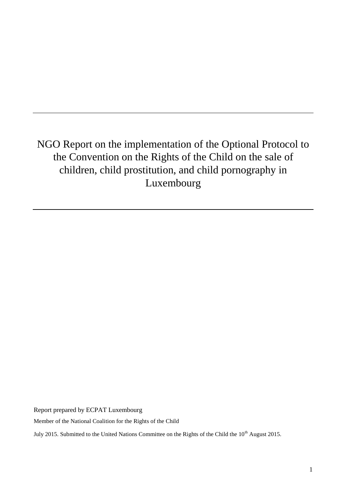# NGO Report on the implementation of the Optional Protocol to the Convention on the Rights of the Child on the sale of children, child prostitution, and child pornography in Luxembourg

Report prepared by ECPAT Luxembourg

Member of the National Coalition for the Rights of the Child

July 2015. Submitted to the United Nations Committee on the Rights of the Child the 10<sup>th</sup> August 2015.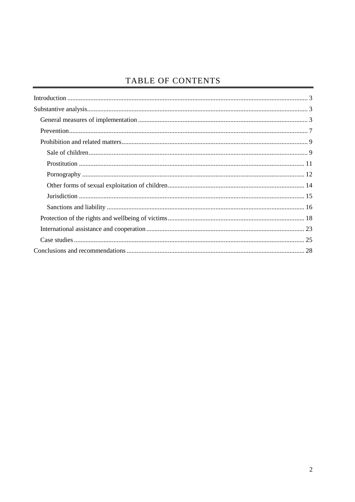# TABLE OF CONTENTS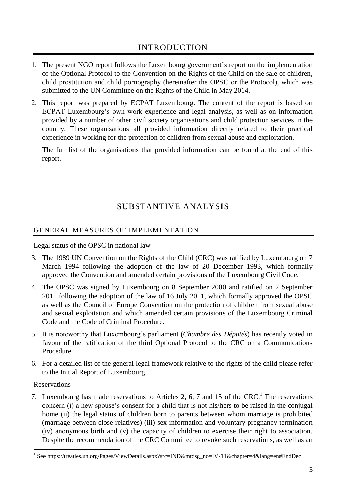- <span id="page-2-0"></span>1. The present NGO report follows the Luxembourg government's report on the implementation of the Optional Protocol to the Convention on the Rights of the Child on the sale of children, child prostitution and child pornography (hereinafter the OPSC or the Protocol), which was submitted to the UN Committee on the Rights of the Child in May 2014.
- 2. This report was prepared by ECPAT Luxembourg. The content of the report is based on ECPAT Luxembourg's own work experience and legal analysis, as well as on information provided by a number of other civil society organisations and child protection services in the country. These organisations all provided information directly related to their practical experience in working for the protection of children from sexual abuse and exploitation.

The full list of the organisations that provided information can be found at the end of this report.

# SUBSTANTIVE ANALYSIS

# <span id="page-2-2"></span><span id="page-2-1"></span>GENERAL MEASURES OF IMPLEMENTATION

# Legal status of the OPSC in national law

- 3. The 1989 UN Convention on the Rights of the Child (CRC) was ratified by Luxembourg on 7 March 1994 following the adoption of the law of 20 December 1993, which formally approved the Convention and amended certain provisions of the Luxembourg Civil Code.
- 4. The OPSC was signed by Luxembourg on 8 September 2000 and ratified on 2 September 2011 following the adoption of the law of 16 July 2011, which formally approved the OPSC as well as the Council of Europe Convention on the protection of children from sexual abuse and sexual exploitation and which amended certain provisions of the Luxembourg Criminal Code and the Code of Criminal Procedure.
- 5. It is noteworthy that Luxembourg's parliament (*Chambre des Députés*) has recently voted in favour of the ratification of the third Optional Protocol to the CRC on a Communications Procedure.
- 6. For a detailed list of the general legal framework relative to the rights of the child please refer to the Initial Report of Luxembourg.

# Reservations

7. Luxembourg has made reservations to Articles 2, 6, 7 and 15 of the CRC.<sup>1</sup> The reservations concern (i) a new spouse's consent for a child that is not his/hers to be raised in the conjugal home (ii) the legal status of children born to parents between whom marriage is prohibited (marriage between close relatives) (iii) sex information and voluntary pregnancy termination (iv) anonymous birth and (v) the capacity of children to exercise their right to association. Despite the recommendation of the CRC Committee to revoke such reservations, as well as an

 1 See [https://treaties.un.org/Pages/ViewDetails.aspx?src=IND&mtdsg\\_no=IV-11&chapter=4&lang=en#EndDec](https://treaties.un.org/Pages/ViewDetails.aspx?src=IND&mtdsg_no=IV-11&chapter=4&lang=en#EndDec)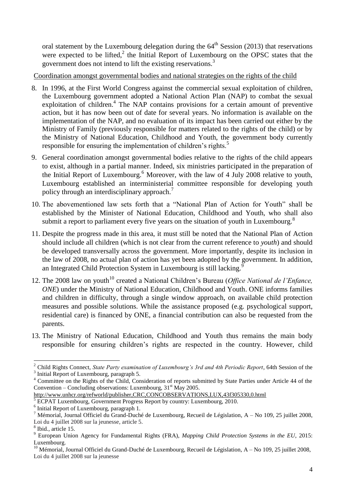oral statement by the Luxembourg delegation during the  $64<sup>th</sup>$  Session (2013) that reservations were expected to be lifted, $2$  the Initial Report of Luxembourg on the OPSC states that the government does not intend to lift the existing reservations.<sup>3</sup>

Coordination amongst governmental bodies and national strategies on the rights of the child

- 8. In 1996, at the First World Congress against the commercial sexual exploitation of children, the Luxembourg government adopted a National Action Plan (NAP) to combat the sexual exploitation of children.<sup>4</sup> The NAP contains provisions for a certain amount of preventive action, but it has now been out of date for several years. No information is available on the implementation of the NAP, and no evaluation of its impact has been carried out either by the Ministry of Family (previously responsible for matters related to the rights of the child) or by the Ministry of National Education, Childhood and Youth, the government body currently responsible for ensuring the implementation of children's rights.<sup>5</sup>
- 9. General coordination amongst governmental bodies relative to the rights of the child appears to exist, although in a partial manner. Indeed, six ministries participated in the preparation of the Initial Report of Luxembourg.<sup>6</sup> Moreover, with the law of 4 July 2008 relative to youth, Luxembourg established an interministerial committee responsible for developing youth policy through an interdisciplinary approach.<sup>7</sup>
- 10. The abovementioned law sets forth that a "National Plan of Action for Youth" shall be established by the Minister of National Education, Childhood and Youth, who shall also submit a report to parliament every five years on the situation of youth in Luxembourg.<sup>8</sup>
- 11. Despite the progress made in this area, it must still be noted that the National Plan of Action should include all children (which is not clear from the current reference to *youth*) and should be developed transversally across the government. More importantly, despite its inclusion in the law of 2008, no actual plan of action has yet been adopted by the government. In addition, an Integrated Child Protection System in Luxembourg is still lacking.<sup>9</sup>
- 12. The 2008 law on youth<sup>10</sup> created a National Children's Bureau (*Office National de l'Enfance*, *ONE*) under the Ministry of National Education, Childhood and Youth. ONE informs families and children in difficulty, through a single window approach, on available child protection measures and possible solutions. While the assistance proposed (e.g. psychological support, residential care) is financed by ONE, a financial contribution can also be requested from the parents.
- 13. The Ministry of National Education, Childhood and Youth thus remains the main body responsible for ensuring children's rights are respected in the country. However, child

-

<sup>2</sup> Child Rights Connect, *State Party examination of Luxembourg's 3rd and 4th Periodic Report*, 64th Session of the <sup>3</sup> Initial Report of Luxembourg, paragraph 5.

<sup>4</sup> Committee on the Rights of the Child, Consideration of reports submitted by State Parties under Article 44 of the Convention – Concluding observations: Luxembourg,  $31<sup>st</sup>$  May 2005.

<http://www.unhcr.org/refworld/publisher,CRC,CONCOBSERVATIONS,LUX,43f305330,0.html>

<sup>5</sup> ECPAT Luxembourg, Government Progress Report by country: Luxembourg, 2010.

<sup>6</sup> Initial Report of Luxembourg, paragraph 1.

<sup>7</sup> Mémorial, Journal Officiel du Grand-Duché de Luxembourg, Recueil de Législation, A – No 109, 25 juillet 2008, Loi du 4 juillet 2008 sur la jeunesse, article 5.

<sup>8</sup> Ibid., article 15.

<sup>9</sup> European Union Agency for Fundamental Rights (FRA), *Mapping Child Protection Systems in the EU*, 2015: Luxembourg.

<sup>&</sup>lt;sup>10</sup> Mémorial, Journal Officiel du Grand-Duché de Luxembourg, Recueil de Législation, A – No 109, 25 juillet 2008, Loi du 4 juillet 2008 sur la jeunesse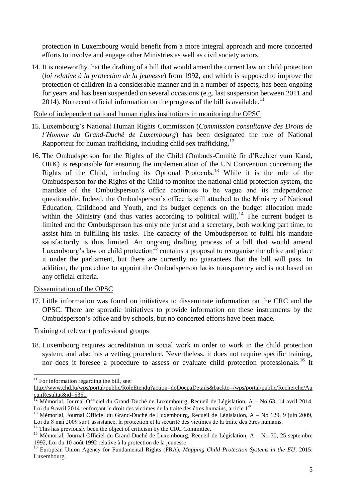protection in Luxembourg would benefit from a more integral approach and more concerted efforts to involve and engage other Ministries as well as civil society actors.

14. It is noteworthy that the drafting of a bill that would amend the current law on child protection (*loi relative à la protection de la jeunesse*) from 1992, and which is supposed to improve the protection of children in a considerable manner and in a number of aspects, has been ongoing for years and has been suspended on several occasions (e.g. last suspension between 2011 and 2014). No recent official information on the progress of the bill is available.<sup>11</sup>

Role of independent national human rights institutions in monitoring the OPSC

- 15. Luxembourg's National Human Rights Commission (*Commission consultative des Droits de l'Homme du Grand-Duché de Luxembourg*) has been designated the role of National Rapporteur for human trafficking, including child sex trafficking.<sup>12</sup>
- 16. The Ombudsperson for the Rights of the Child (Ombuds-Comité fir d'Rechter vum Kand, ORK) is responsible for ensuring the implementation of the UN Convention concerning the Rights of the Child, including its Optional Protocols.<sup>13</sup> While it is the role of the Ombudsperson for the Rights of the Child to monitor the national child protection system, the mandate of the Ombudsperson's office continues to be vague and its independence questionable. Indeed, the Ombudsperson's office is still attached to the Ministry of National Education, Childhood and Youth, and its budget depends on the budget allocation made within the Ministry (and thus varies according to political will).<sup>14</sup> The current budget is limited and the Ombudsperson has only one jurist and a secretary, both working part time, to assist him in fulfilling his tasks. The capacity of the Ombudsperson to fulfil his mandate satisfactorily is thus limited. An ongoing drafting process of a bill that would amend Luxembourg's law on child protection<sup>15</sup> contains a proposal to reorganise the office and place it under the parliament, but there are currently no guarantees that the bill will pass. In addition, the procedure to appoint the Ombudsperson lacks transparency and is not based on any official criteria.

# Dissemination of the OPSC

17. Little information was found on initiatives to disseminate information on the CRC and the OPSC. There are sporadic initiatives to provide information on these instruments by the Ombudsperson's office and by schools, but no concerted efforts have been made.

#### Training of relevant professional groups

18. Luxembourg requires accreditation in social work in order to work in the child protection system, and also has a vetting procedure. Nevertheless, it does not require specific training, nor does it foresee a procedure to assess or evaluate child protection professionals.<sup>16</sup> It

 $11$  For information regarding the bill, see:

[http://www.chd.lu/wps/portal/public/RoleEtendu?action=doDocpaDetails&backto=/wps/portal/public/Recherche/Au](http://www.chd.lu/wps/portal/public/RoleEtendu?action=doDocpaDetails&backto=/wps/portal/public/Recherche/AucunResultat&id=5351) [cunResultat&id=5351](http://www.chd.lu/wps/portal/public/RoleEtendu?action=doDocpaDetails&backto=/wps/portal/public/Recherche/AucunResultat&id=5351)

<sup>12</sup> Mémorial, Journal Officiel du Grand-Duché de Luxembourg, Recueil de Législation, A – No 63, 14 avril 2014, Loi du 9 avril 2014 renforçant le droit des victimes de la traite des êtres humains, article 1<sup>er</sup>.

<sup>&</sup>lt;sup>13</sup> Mémorial, Journal Officiel du Grand-Duché de Luxembourg, Recueil de Législation, A – No 129, 9 juin 2009, Loi du 8 mai 2009 sur l'assistance, la protection et la sécurité des victimes de la traite des êtres humains.

 $14$  This has previously been the object of criticism by the CRC Committee.

<sup>&</sup>lt;sup>15</sup> Mémorial, Journal Officiel du Grand-Duché de Luxembourg, Recueil de Législation, A – No 70, 25 septembre 1992, Loi du 10 août 1992 relative à la protection de la jeunesse.

<sup>&</sup>lt;sup>16</sup> European Union Agency for Fundamental Rights (FRA), *Mapping Child Protection Systems in the EU*, 2015: Luxembourg.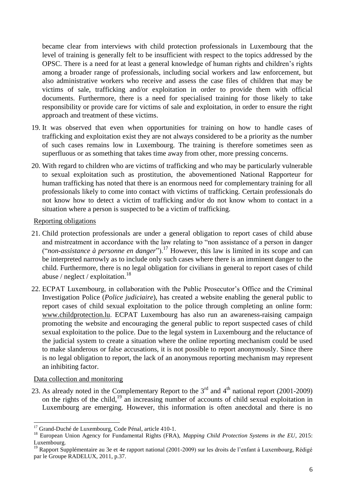became clear from interviews with child protection professionals in Luxembourg that the level of training is generally felt to be insufficient with respect to the topics addressed by the OPSC. There is a need for at least a general knowledge of human rights and children's rights among a broader range of professionals, including social workers and law enforcement, but also administrative workers who receive and assess the case files of children that may be victims of sale, trafficking and/or exploitation in order to provide them with official documents. Furthermore, there is a need for specialised training for those likely to take responsibility or provide care for victims of sale and exploitation, in order to ensure the right approach and treatment of these victims.

- 19. It was observed that even when opportunities for training on how to handle cases of trafficking and exploitation exist they are not always considered to be a priority as the number of such cases remains low in Luxembourg. The training is therefore sometimes seen as superfluous or as something that takes time away from other, more pressing concerns.
- 20. With regard to children who are victims of trafficking and who may be particularly vulnerable to sexual exploitation such as prostitution, the abovementioned National Rapporteur for human trafficking has noted that there is an enormous need for complementary training for all professionals likely to come into contact with victims of trafficking. Certain professionals do not know how to detect a victim of trafficking and/or do not know whom to contact in a situation where a person is suspected to be a victim of trafficking.

#### Reporting obligations

- 21. Child protection professionals are under a general obligation to report cases of child abuse and mistreatment in accordance with the law relating to "non assistance of a person in danger ("*non-assistance à personne en danger*").<sup>17</sup> However, this law is limited in its scope and can be interpreted narrowly as to include only such cases where there is an imminent danger to the child. Furthermore, there is no legal obligation for civilians in general to report cases of child abuse / neglect / exploitation.<sup>18</sup>
- 22. ECPAT Luxembourg, in collaboration with the Public Prosecutor's Office and the Criminal Investigation Police (*Police judiciaire*), has created a website enabling the general public to report cases of child sexual exploitation to the police through completing an online form: [www.childprotection.lu](http://www.childprotection.lu/). ECPAT Luxembourg has also run an awareness-raising campaign promoting the website and encouraging the general public to report suspected cases of child sexual exploitation to the police. Due to the legal system in Luxembourg and the reluctance of the judicial system to create a situation where the online reporting mechanism could be used to make slanderous or false accusations, it is not possible to report anonymously. Since there is no legal obligation to report, the lack of an anonymous reporting mechanism may represent an inhibiting factor.

#### Data collection and monitoring

1

23. As already noted in the Complementary Report to the  $3<sup>rd</sup>$  and  $4<sup>th</sup>$  national report (2001-2009) on the rights of the child,<sup>19</sup> an increasing number of accounts of child sexual exploitation in Luxembourg are emerging. However, this information is often anecdotal and there is no

<sup>&</sup>lt;sup>17</sup> Grand-Duché de Luxembourg, Code Pénal, article 410-1.

<sup>18</sup> European Union Agency for Fundamental Rights (FRA), *Mapping Child Protection Systems in the EU*, 2015: Luxembourg.

<sup>&</sup>lt;sup>19</sup> Rapport Supplémentaire au 3e et 4e rapport national (2001-2009) sur les droits de l'enfant à Luxembourg, Rédigé par le Groupe RADELUX, 2011, p.37.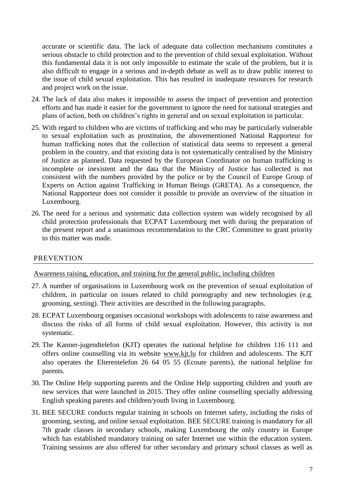accurate or scientific data. The lack of adequate data collection mechanisms constitutes a serious obstacle to child protection and to the prevention of child sexual exploitation. Without this fundamental data it is not only impossible to estimate the scale of the problem, but it is also difficult to engage in a serious and in-depth debate as well as to draw public interest to the issue of child sexual exploitation. This has resulted in inadequate resources for research and project work on the issue.

- 24. The lack of data also makes it impossible to assess the impact of prevention and protection efforts and has made it easier for the government to ignore the need for national strategies and plans of action, both on children's rights in general and on sexual exploitation in particular.
- 25. With regard to children who are victims of trafficking and who may be particularly vulnerable to sexual exploitation such as prostitution, the abovementioned National Rapporteur for human trafficking notes that the collection of statistical data seems to represent a general problem in the country, and that existing data is not systematically centralised by the Ministry of Justice as planned. Data requested by the European Coordinator on human trafficking is incomplete or inexistent and the data that the Ministry of Justice has collected is not consistent with the numbers provided by the police or by the Council of Europe Group of Experts on Action against Trafficking in Human Beings (GRETA). As a consequence, the National Rapporteur does not consider it possible to provide an overview of the situation in Luxembourg.
- 26. The need for a serious and systematic data collection system was widely recognised by all child protection professionals that ECPAT Luxembourg met with during the preparation of the present report and a unanimous recommendation to the CRC Committee to grant priority to this matter was made.

# <span id="page-6-0"></span>PREVENTION

Awareness raising, education, and training for the general public, including children

- 27. A number of organisations in Luxembourg work on the prevention of sexual exploitation of children, in particular on issues related to child pornography and new technologies (e.g. grooming, sexting). Their activities are described in the following paragraphs.
- 28. ECPAT Luxembourg organises occasional workshops with adolescents to raise awareness and discuss the risks of all forms of child sexual exploitation. However, this activity is not systematic.
- 29. The Kanner-jugendtelefon (KJT) operates the national helpline for children 116 111 and offers online counselling via its website [www.kjt.lu](http://www.kjt.lu/) for children and adolescents. The KJT also operates the Elterentelefon 26 64 05 55 (Ecoute parents), the national helpline for parents.
- 30. The Online Help supporting parents and the Online Help supporting children and youth are new services that were launched in 2015. They offer online counselling specially addressing English speaking parents and children/youth living in Luxembourg.
- 31. BEE SECURE conducts regular training in schools on Internet safety, including the risks of grooming, sexting, and online sexual exploitation. BEE SECURE training is mandatory for all 7th grade classes in secondary schools, making Luxembourg the only country in Europe which has established mandatory training on safer Internet use within the education system. Training sessions are also offered for other secondary and primary school classes as well as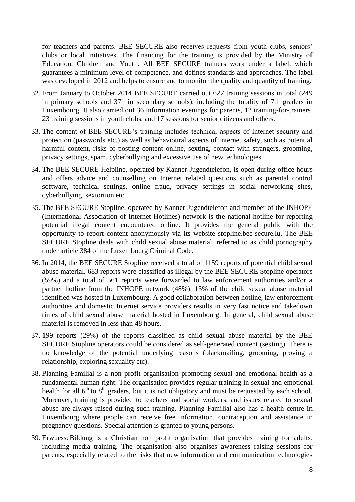for teachers and parents. BEE SECURE also receives requests from youth clubs, seniors' clubs or local initiatives. The financing for the training is provided by the Ministry of Education, Children and Youth. All BEE SECURE trainers work under a label, which guarantees a minimum level of competence, and defines standards and approaches. The label was developed in 2012 and helps to ensure and to monitor the quality and quantity of training.

- 32. From January to October 2014 BEE SECURE carried out 627 training sessions in total (249 in primary schools and 371 in secondary schools), including the totality of 7th graders in Luxembourg. It also carried out 36 information evenings for parents, 12 training-for-trainers, 23 training sessions in youth clubs, and 17 sessions for senior citizens and others.
- 33. The content of BEE SECURE's training includes technical aspects of Internet security and protection (passwords etc.) as well as behavioural aspects of Internet safety, such as potential harmful content, risks of posting content online, sexting, contact with strangers, grooming, privacy settings, spam, cyberbullying and excessive use of new technologies.
- 34. The BEE SECURE Helpline, operated by Kanner-Jugendtelefon, is open during office hours and offers advice and counselling on Internet related questions such as parental control software, technical settings, online fraud, privacy settings in social networking sites, cyberbullying, sextortion etc.
- 35. The BEE SECURE Stopline, operated by Kanner-Jugendtelefon and member of the INHOPE (International Association of Internet Hotlines) network is the national hotline for reporting potential illegal content encountered online. It provides the general public with the opportunity to report content anonymously via its website stopline.bee-secure.lu. The BEE SECURE Stopline deals with child sexual abuse material, referred to as child pornography under article 384 of the Luxembourg Criminal Code.
- 36. In 2014, the BEE SECURE Stopline received a total of 1159 reports of potential child sexual abuse material. 683 reports were classified as illegal by the BEE SECURE Stopline operators (59%) and a total of 561 reports were forwarded to law enforcement authorities and/or a partner hotline from the INHOPE network (48%). 13% of the child sexual abuse material identified was hosted in Luxembourg. A good collaboration between hotline, law enforcement authorities and domestic Internet service providers results in very fast notice and takedown times of child sexual abuse material hosted in Luxembourg. In general, child sexual abuse material is removed in less than 48 hours.
- 37. 199 reports (29%) of the reports classified as child sexual abuse material by the BEE SECURE Stopline operators could be considered as self-generated content (sexting). There is no knowledge of the potential underlying reasons (blackmailing, grooming, proving a relationship, exploring sexuality etc).
- 38. Planning Familial is a non profit organisation promoting sexual and emotional health as a fundamental human right. The organisation provides regular training in sexual and emotional health for all  $6<sup>th</sup>$  to  $8<sup>th</sup>$  graders, but it is not obligatory and must be requested by each school. Moreover, training is provided to teachers and social workers, and issues related to sexual abuse are always raised during such training. Planning Familial also has a health centre in Luxembourg where people can receive free information, contraception and assistance in pregnancy questions. Special attention is granted to young persons.
- 39. ErwuesseBildung is a Christian non profit organisation that provides training for adults, including media training. The organisation also organises awareness raising sessions for parents, especially related to the risks that new information and communication technologies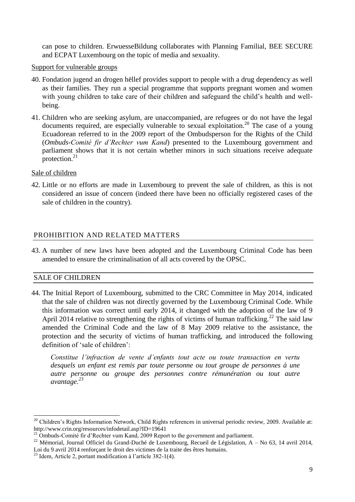can pose to children. ErwuesseBildung collaborates with Planning Familial, BEE SECURE and ECPAT Luxembourg on the topic of media and sexuality.

#### Support for vulnerable groups

- 40. Fondation jugend an drogen hëllef provides support to people with a drug dependency as well as their families. They run a special programme that supports pregnant women and women with young children to take care of their children and safeguard the child's health and wellbeing.
- 41. Children who are seeking asylum, are unaccompanied, are refugees or do not have the legal documents required, are especially vulnerable to sexual exploitation.<sup>20</sup> The case of a young Ecuadorean referred to in the 2009 report of the Ombudsperson for the Rights of the Child (*Ombuds-Comité fir d'Rechter vum Kand*) presented to the Luxembourg government and parliament shows that it is not certain whether minors in such situations receive adequate protection. $21$

#### Sale of children

42. Little or no efforts are made in Luxembourg to prevent the sale of children, as this is not considered an issue of concern (indeed there have been no officially registered cases of the sale of children in the country).

# <span id="page-8-0"></span>PROHIBITION AND RELATED MATTERS

43. A number of new laws have been adopted and the Luxembourg Criminal Code has been amended to ensure the criminalisation of all acts covered by the OPSC.

# <span id="page-8-1"></span>SALE OF CHILDREN

1

44. The Initial Report of Luxembourg, submitted to the CRC Committee in May 2014, indicated that the sale of children was not directly governed by the Luxembourg Criminal Code. While this information was correct until early 2014, it changed with the adoption of the law of 9 April 2014 relative to strengthening the rights of victims of human trafficking.<sup>22</sup> The said law amended the Criminal Code and the law of 8 May 2009 relative to the assistance, the protection and the security of victims of human trafficking, and introduced the following definition of 'sale of children':

*Constitue l'infraction de vente d'enfants tout acte ou toute transaction en vertu desquels un enfant est remis par toute personne ou tout groupe de personnes à une autre personne ou groupe des personnes contre rémunération ou tout autre avantage.<sup>23</sup>*

<sup>&</sup>lt;sup>20</sup> Children's Rights Information Network, Child Rights references in universal periodic review, 2009. Available at: http://www.crin.org/resources/infodetail.asp?ID=19641

<sup>&</sup>lt;sup>21</sup> Ombuds-Comité fir d'Rechter vum Kand, 2009 Report to the government and parliament.

<sup>&</sup>lt;sup>22</sup> Mémorial, Journal Officiel du Grand-Duché de Luxembourg, Recueil de Législation, A – No 63, 14 avril 2014, Loi du 9 avril 2014 renforçant le droit des victimes de la traite des êtres humains.

<sup>23</sup> Idem, Article 2, portant modification à l'article 382-1(4).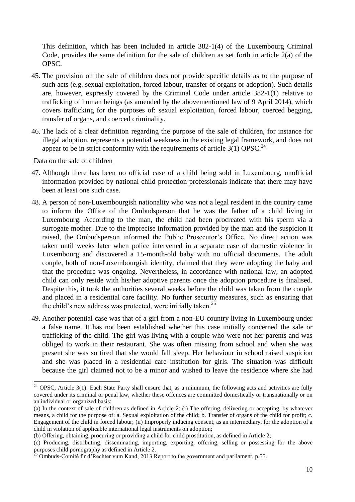This definition, which has been included in article 382-1(4) of the Luxembourg Criminal Code, provides the same definition for the sale of children as set forth in article 2(a) of the OPSC.

- 45. The provision on the sale of children does not provide specific details as to the purpose of such acts (e.g. sexual exploitation, forced labour, transfer of organs or adoption). Such details are, however, expressly covered by the Criminal Code under article 382-1(1) relative to trafficking of human beings (as amended by the abovementioned law of 9 April 2014), which covers trafficking for the purposes of: sexual exploitation, forced labour, coerced begging, transfer of organs, and coerced criminality.
- 46. The lack of a clear definition regarding the purpose of the sale of children, for instance for illegal adoption, represents a potential weakness in the existing legal framework, and does not appear to be in strict conformity with the requirements of article  $3(1)$  OPSC.<sup>24</sup>

Data on the sale of children

-

- 47. Although there has been no official case of a child being sold in Luxembourg, unofficial information provided by national child protection professionals indicate that there may have been at least one such case.
- 48. A person of non-Luxembourgish nationality who was not a legal resident in the country came to inform the Office of the Ombudsperson that he was the father of a child living in Luxembourg. According to the man, the child had been procreated with his sperm via a surrogate mother. Due to the imprecise information provided by the man and the suspicion it raised, the Ombudsperson informed the Public Prosecutor's Office. No direct action was taken until weeks later when police intervened in a separate case of domestic violence in Luxembourg and discovered a 15-month-old baby with no official documents. The adult couple, both of non-Luxembourgish identity, claimed that they were adopting the baby and that the procedure was ongoing. Nevertheless, in accordance with national law, an adopted child can only reside with his/her adoptive parents once the adoption procedure is finalised. Despite this, it took the authorities several weeks before the child was taken from the couple and placed in a residential care facility. No further security measures, such as ensuring that the child's new address was protected, were initially taken.<sup>25</sup>
- 49. Another potential case was that of a girl from a non-EU country living in Luxembourg under a false name. It has not been established whether this case initially concerned the sale or trafficking of the child. The girl was living with a couple who were not her parents and was obliged to work in their restaurant. She was often missing from school and when she was present she was so tired that she would fall sleep. Her behaviour in school raised suspicion and she was placed in a residential care institution for girls. The situation was difficult because the girl claimed not to be a minor and wished to leave the residence where she had

 $24$  OPSC, Article 3(1): Each State Party shall ensure that, as a minimum, the following acts and activities are fully covered under its criminal or penal law, whether these offences are committed domestically or transnationally or on an individual or organized basis:

<sup>(</sup>a) In the context of sale of children as defined in Article 2: (i) The offering, delivering or accepting, by whatever means, a child for the purpose of: a. Sexual exploitation of the child; b. Transfer of organs of the child for profit; c. Engagement of the child in forced labour; (ii) Improperly inducing consent, as an intermediary, for the adoption of a child in violation of applicable international legal instruments on adoption;

<sup>(</sup>b) Offering, obtaining, procuring or providing a child for child prostitution, as defined in Article 2;

<sup>(</sup>c) Producing, distributing, disseminating, importing, exporting, offering, selling or possessing for the above purposes child pornography as defined in Article 2.

 $^{25}$  Ombuds-Comité fir d'Rechter vum Kand, 2013 Report to the government and parliament, p.55.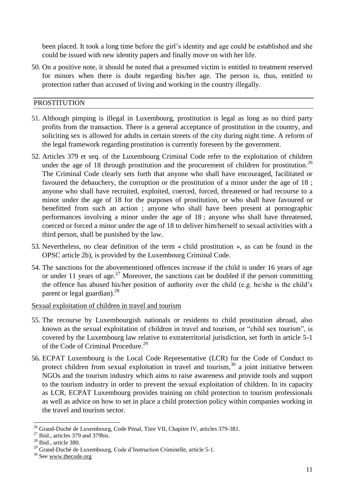been placed. It took a long time before the girl's identity and age could be established and she could be issued with new identity papers and finally move on with her life.

50. On a positive note, it should be noted that a presumed victim is entitled to treatment reserved for minors when there is doubt regarding his/her age. The person is, thus, entitled to protection rather than accused of living and working in the country illegally.

#### <span id="page-10-0"></span>PROSTITUTION

- 51. Although pimping is illegal in Luxembourg, prostitution is legal as long as no third party profits from the transaction. There is a general acceptance of prostitution in the country, and soliciting sex is allowed for adults in certain streets of the city during night time. A reform of the legal framework regarding prostitution is currently foreseen by the government.
- 52. Articles 379 et seq. of the Luxembourg Criminal Code refer to the exploitation of children under the age of 18 through prostitution and the procurement of children for prostitution.<sup>26</sup> The Criminal Code clearly sets forth that anyone who shall have encouraged, facilitated or favoured the debauchery, the corruption or the prostitution of a minor under the age of 18 ; anyone who shall have recruited, exploited, coerced, forced, threatened or had recourse to a minor under the age of 18 for the purposes of prostitution, or who shall have favoured or benefitted from such an action ; anyone who shall have been present at pornographic performances involving a minor under the age of 18 ; anyone who shall have threatened, coerced or forced a minor under the age of 18 to deliver him/herself to sexual activities with a third person, shall be punished by the law.
- 53. Nevertheless, no clear definition of the term « child prostitution », as can be found in the OPSC article 2b), is provided by the Luxembourg Criminal Code.
- 54. The sanctions for the abovementioned offences increase if the child is under 16 years of age or under 11 years of age.<sup>27</sup> Moreover, the sanctions can be doubled if the person committing the offence has abused his/her position of authority over the child (e.g. he/she is the child's parent or legal guardian). $^{28}$

#### Sexual exploitation of children in travel and tourism

- 55. The recourse by Luxembourgish nationals or residents to child prostitution abroad, also known as the sexual exploitation of children in travel and tourism, or "child sex tourism", is covered by the Luxembourg law relative to extraterritorial jurisdiction, set forth in article 5-1 of the Code of Criminal Procedure.<sup>29</sup>
- 56. ECPAT Luxembourg is the Local Code Representative (LCR) for the Code of Conduct to protect children from sexual exploitation in travel and tourism, $30$  a joint initiative between NGOs and the tourism industry which aims to raise awareness and provide tools and support to the tourism industry in order to prevent the sexual exploitation of children. In its capacity as LCR, ECPAT Luxembourg provides training on child protection to tourism professionals as well as advice on how to set in place a child protection policy within companies working in the travel and tourism sector.

<sup>1</sup>  $^{26}$  Grand-Duché de Luxembourg, Code Pénal, Titre VII, Chapitre IV, articles 379-381.

 $27$  Ibid., articles 379 and 379bis.

<sup>28</sup> Ibid., article 380.

<sup>&</sup>lt;sup>29</sup> Grand-Duché de Luxembourg, Code d'Instruction Criminelle, article 5-1.

<sup>&</sup>lt;sup>30</sup> Se[e www.thecode.org](http://www.thecode.org/)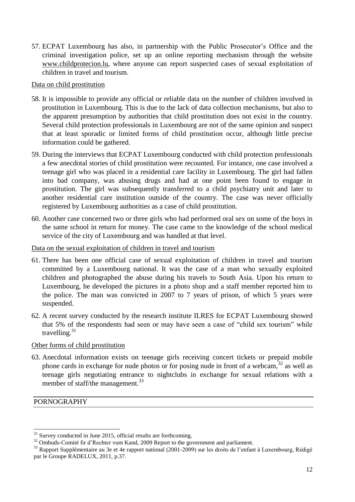57. ECPAT Luxembourg has also, in partnership with the Public Prosecutor's Office and the criminal investigation police, set up an online reporting mechanism through the website [www.childprotecion.lu,](http://www.childprotecion.lu/) where anyone can report suspected cases of sexual exploitation of children in travel and tourism.

#### Data on child prostitution

- 58. It is impossible to provide any official or reliable data on the number of children involved in prostitution in Luxembourg. This is due to the lack of data collection mechanisms, but also to the apparent presumption by authorities that child prostitution does not exist in the country. Several child protection professionals in Luxembourg are not of the same opinion and suspect that at least sporadic or limited forms of child prostitution occur, although little precise information could be gathered.
- 59. During the interviews that ECPAT Luxembourg conducted with child protection professionals a few anecdotal stories of child prostitution were recounted. For instance, one case involved a teenage girl who was placed in a residential care facility in Luxembourg. The girl had fallen into bad company, was abusing drugs and had at one point been found to engage in prostitution. The girl was subsequently transferred to a child psychiatry unit and later to another residential care institution outside of the country. The case was never officially registered by Luxembourg authorities as a case of child prostitution.
- 60. Another case concerned two or three girls who had performed oral sex on some of the boys in the same school in return for money. The case came to the knowledge of the school medical service of the city of Luxembourg and was handled at that level.

# Data on the sexual exploitation of children in travel and tourism

- 61. There has been one official case of sexual exploitation of children in travel and tourism committed by a Luxembourg national. It was the case of a man who sexually exploited children and photographed the abuse during his travels to South Asia. Upon his return to Luxembourg, he developed the pictures in a photo shop and a staff member reported him to the police. The man was convicted in 2007 to 7 years of prison, of which 5 years were suspended.
- 62. A recent survey conducted by the research institute ILRES for ECPAT Luxembourg showed that 5% of the respondents had seen or may have seen a case of "child sex tourism" while travelling. $31$

# Other forms of child prostitution

63. Anecdotal information exists on teenage girls receiving concert tickets or prepaid mobile phone cards in exchange for nude photos or for posing nude in front of a webcam,  $32$  as well as teenage girls negotiating entrance to nightclubs in exchange for sexual relations with a member of staff/the management.<sup>33</sup>

#### <span id="page-11-0"></span>PORNOGRAPHY

<sup>-</sup> $31$  Survey conducted in June 2015, official results are forthcoming.

<sup>&</sup>lt;sup>32</sup> Ombuds-Comité fir d'Rechter vum Kand, 2009 Report to the government and parliament.

<sup>&</sup>lt;sup>33</sup> Rapport Supplémentaire au 3e et 4e rapport national (2001-2009) sur les droits de l'enfant à Luxembourg, Rédigé par le Groupe RADELUX, 2011, p.37.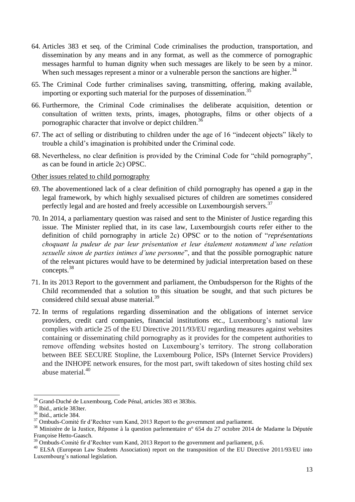- 64. Articles 383 et seq. of the Criminal Code criminalises the production, transportation, and dissemination by any means and in any format, as well as the commerce of pornographic messages harmful to human dignity when such messages are likely to be seen by a minor. When such messages represent a minor or a vulnerable person the sanctions are higher.<sup>34</sup>
- 65. The Criminal Code further criminalises saving, transmitting, offering, making available, importing or exporting such material for the purposes of dissemination.<sup>35</sup>
- 66. Furthermore, the Criminal Code criminalises the deliberate acquisition, detention or consultation of written texts, prints, images, photographs, films or other objects of a pornographic character that involve or depict children.<sup>36</sup>
- 67. The act of selling or distributing to children under the age of 16 "indecent objects" likely to trouble a child's imagination is prohibited under the Criminal code.
- 68. Nevertheless, no clear definition is provided by the Criminal Code for "child pornography", as can be found in article 2c) OPSC.

#### Other issues related to child pornography

- 69. The abovementioned lack of a clear definition of child pornography has opened a gap in the legal framework, by which highly sexualised pictures of children are sometimes considered perfectly legal and are hosted and freely accessible on Luxembourgish servers.<sup>37</sup>
- 70. In 2014, a parliamentary question was raised and sent to the Minister of Justice regarding this issue. The Minister replied that, in its case law, Luxembourgish courts refer either to the definition of child pornography in article 2c) OPSC or to the notion of "*représentations choquant la pudeur de par leur présentation et leur étalement notamment d'une relation sexuelle sinon de parties intimes d'une personne*", and that the possible pornographic nature of the relevant pictures would have to be determined by judicial interpretation based on these concepts.<sup>38</sup>
- 71. In its 2013 Report to the government and parliament, the Ombudsperson for the Rights of the Child recommended that a solution to this situation be sought, and that such pictures be considered child sexual abuse material.<sup>39</sup>
- 72. In terms of regulations regarding dissemination and the obligations of internet service providers, credit card companies, financial institutions etc., Luxembourg's national law complies with article 25 of the EU Directive 2011/93/EU regarding measures against websites containing or disseminating child pornography as it provides for the competent authorities to remove offending websites hosted on Luxembourg's territory. The strong collaboration between BEE SECURE Stopline, the Luxembourg Police, ISPs (Internet Service Providers) and the INHOPE network ensures, for the most part, swift takedown of sites hosting child sex abuse material.<sup>40</sup>

<sup>&</sup>lt;sup>34</sup> Grand-Duché de Luxembourg, Code Pénal, articles 383 et 383bis.

<sup>&</sup>lt;sup>35</sup> Ibid., article 383ter.

<sup>&</sup>lt;sup>36</sup> Ibid., article 384.

<sup>&</sup>lt;sup>37</sup> Ombuds-Comité fir d'Rechter vum Kand, 2013 Report to the government and parliament.

<sup>&</sup>lt;sup>38</sup> Ministère de la Justice, Réponse à la question parlementaire n° 654 du 27 octobre 2014 de Madame la Députée Françoise Hetto-Gaasch.

<sup>&</sup>lt;sup>39</sup> Ombuds-Comité fir d'Rechter vum Kand, 2013 Report to the government and parliament, p.6.

<sup>&</sup>lt;sup>40</sup> ELSA (European Law Students Association) report on the transposition of the EU Directive 2011/93/EU into Luxembourg's national legislation.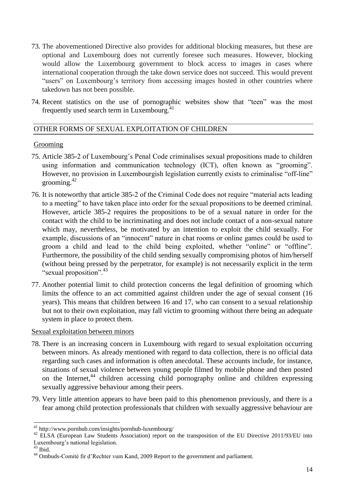- 73. The abovementioned Directive also provides for additional blocking measures, but these are optional and Luxembourg does not currently foresee such measures. However, blocking would allow the Luxembourg government to block access to images in cases where international cooperation through the take down service does not succeed. This would prevent "users" on Luxembourg's territory from accessing images hosted in other countries where takedown has not been possible.
- 74. Recent statistics on the use of pornographic websites show that "teen" was the most frequently used search term in Luxembourg.<sup>41</sup>

# <span id="page-13-0"></span>OTHER FORMS OF SEXUAL EXPLOITATION OF CHILDREN

#### Grooming

- 75. Article 385-2 of Luxembourg's Penal Code criminalises sexual propositions made to children using information and communication technology (ICT), often known as "grooming". However, no provision in Luxembourgish legislation currently exists to criminalise "off-line" grooming. $42$
- 76. It is noteworthy that article 385-2 of the Criminal Code does not require "material acts leading to a meeting" to have taken place into order for the sexual propositions to be deemed criminal. However, article 385-2 requires the propositions to be of a sexual nature in order for the contact with the child to be incriminating and does not include contact of a non-sexual nature which may, nevertheless, be motivated by an intention to exploit the child sexually. For example, discussions of an "innocent" nature in chat rooms or online games could be used to groom a child and lead to the child being exploited, whether "online" or "offline". Furthermore, the possibility of the child sending sexually compromising photos of him/herself (without being pressed by the perpetrator, for example) is not necessarily explicit in the term "sexual proposition".<sup>43</sup>
- 77. Another potential limit to child protection concerns the legal definition of grooming which limits the offence to an act committed against children under the age of sexual consent (16 years). This means that children between 16 and 17, who can consent to a sexual relationship but not to their own exploitation, may fall victim to grooming without there being an adequate system in place to protect them.

# Sexual exploitation between minors

- 78. There is an increasing concern in Luxembourg with regard to sexual exploitation occurring between minors. As already mentioned with regard to data collection, there is no official data regarding such cases and information is often anecdotal. These accounts include, for instance, situations of sexual violence between young people filmed by mobile phone and then posted on the Internet,  $44$  children accessing child pornography online and children expressing sexually aggressive behaviour among their peers.
- 79. Very little attention appears to have been paid to this phenomenon previously, and there is a fear among child protection professionals that children with sexually aggressive behaviour are

 $43$  Ibid.

 $41$  http://www.pornhub.com/insights/pornhub-luxembourg/

<sup>&</sup>lt;sup>42</sup> ELSA (European Law Students Association) report on the transposition of the EU Directive 2011/93/EU into Luxembourg's national legislation.

<sup>44</sup> Ombuds-Comité fir d'Rechter vum Kand, 2009 Report to the government and parliament.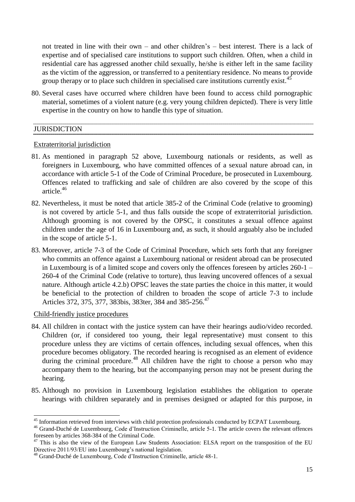not treated in line with their own – and other children's – best interest. There is a lack of expertise and of specialised care institutions to support such children. Often, when a child in residential care has aggressed another child sexually, he/she is either left in the same facility as the victim of the aggression, or transferred to a penitentiary residence. No means to provide group therapy or to place such children in specialised care institutions currently exist.<sup>45</sup>

80. Several cases have occurred where children have been found to access child pornographic material, sometimes of a violent nature (e.g. very young children depicted). There is very little expertise in the country on how to handle this type of situation.

#### <span id="page-14-0"></span>**JURISDICTION**

#### Extraterritorial jurisdiction

- 81. As mentioned in paragraph 52 above, Luxembourg nationals or residents, as well as foreigners in Luxembourg, who have committed offences of a sexual nature abroad can, in accordance with article 5-1 of the Code of Criminal Procedure, be prosecuted in Luxembourg. Offences related to trafficking and sale of children are also covered by the scope of this article.<sup>46</sup>
- 82. Nevertheless, it must be noted that article 385-2 of the Criminal Code (relative to grooming) is not covered by article 5-1, and thus falls outside the scope of extraterritorial jurisdiction. Although grooming is not covered by the OPSC, it constitutes a sexual offence against children under the age of 16 in Luxembourg and, as such, it should arguably also be included in the scope of article 5-1.
- 83. Moreover, article 7-3 of the Code of Criminal Procedure, which sets forth that any foreigner who commits an offence against a Luxembourg national or resident abroad can be prosecuted in Luxembourg is of a limited scope and covers only the offences foreseen by articles 260-1 – 260-4 of the Criminal Code (relative to torture), thus leaving uncovered offences of a sexual nature. Although article 4.2.b) OPSC leaves the state parties the choice in this matter, it would be beneficial to the protection of children to broaden the scope of article 7-3 to include Articles 372, 375, 377, 383bis, 383ter, 384 and 385-256.<sup>47</sup>

#### Child-friendly justice procedures

- 84. All children in contact with the justice system can have their hearings audio/video recorded. Children (or, if considered too young, their legal representative) must consent to this procedure unless they are victims of certain offences, including sexual offences, when this procedure becomes obligatory. The recorded hearing is recognised as an element of evidence during the criminal procedure.<sup>48</sup> All children have the right to choose a person who may accompany them to the hearing, but the accompanying person may not be present during the hearing.
- 85. Although no provision in Luxembourg legislation establishes the obligation to operate hearings with children separately and in premises designed or adapted for this purpose, in

<sup>&</sup>lt;sup>45</sup> Information retrieved from interviews with child protection professionals conducted by ECPAT Luxembourg.

<sup>46</sup> Grand-Duché de Luxembourg, Code d'Instruction Criminelle, article 5-1. The article covers the relevant offences foreseen by articles 368-384 of the Criminal Code.

<sup>&</sup>lt;sup>47</sup> This is also the view of the European Law Students Association: ELSA report on the transposition of the EU Directive 2011/93/EU into Luxembourg's national legislation.

<sup>48</sup> Grand-Duché de Luxembourg, Code d'Instruction Criminelle, article 48-1.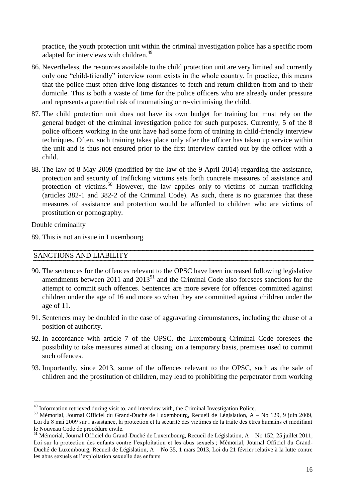practice, the youth protection unit within the criminal investigation police has a specific room adapted for interviews with children.<sup>49</sup>

- 86. Nevertheless, the resources available to the child protection unit are very limited and currently only one "child-friendly" interview room exists in the whole country. In practice, this means that the police must often drive long distances to fetch and return children from and to their domicile. This is both a waste of time for the police officers who are already under pressure and represents a potential risk of traumatising or re-victimising the child.
- 87. The child protection unit does not have its own budget for training but must rely on the general budget of the criminal investigation police for such purposes. Currently, 5 of the 8 police officers working in the unit have had some form of training in child-friendly interview techniques. Often, such training takes place only after the officer has taken up service within the unit and is thus not ensured prior to the first interview carried out by the officer with a child.
- 88. The law of 8 May 2009 (modified by the law of the 9 April 2014) regarding the assistance, protection and security of trafficking victims sets forth concrete measures of assistance and protection of victims.<sup>50</sup> However, the law applies only to victims of human trafficking (articles 382-1 and 382-2 of the Criminal Code). As such, there is no guarantee that these measures of assistance and protection would be afforded to children who are victims of prostitution or pornography.

Double criminality

-

89. This is not an issue in Luxembourg.

# <span id="page-15-0"></span>SANCTIONS AND LIABILITY

- 90. The sentences for the offences relevant to the OPSC have been increased following legislative amendments between 2011 and  $2013^{51}$  and the Criminal Code also foresees sanctions for the attempt to commit such offences. Sentences are more severe for offences committed against children under the age of 16 and more so when they are committed against children under the age of 11.
- 91. Sentences may be doubled in the case of aggravating circumstances, including the abuse of a position of authority.
- 92. In accordance with article 7 of the OPSC, the Luxembourg Criminal Code foresees the possibility to take measures aimed at closing, on a temporary basis, premises used to commit such offences.
- 93. Importantly, since 2013, some of the offences relevant to the OPSC, such as the sale of children and the prostitution of children, may lead to prohibiting the perpetrator from working

<sup>&</sup>lt;sup>49</sup> Information retrieved during visit to, and interview with, the Criminal Investigation Police.

<sup>50</sup> Mémorial, Journal Officiel du Grand-Duché de Luxembourg, Recueil de Législation, A – No 129, 9 juin 2009, Loi du 8 mai 2009 sur l'assistance, la protection et la sécurité des victimes de la traite des êtres humains et modifiant le Nouveau Code de procédure civile.

<sup>51</sup> Mémorial, Journal Officiel du Grand-Duché de Luxembourg, Recueil de Législation, A – No 152, 25 juillet 2011, Loi sur la protection des enfants contre l'exploitation et les abus sexuels ; Mémorial, Journal Officiel du Grand-Duché de Luxembourg, Recueil de Législation, A – No 35, 1 mars 2013, Loi du 21 février relative à la lutte contre les abus sexuels et l'exploitation sexuelle des enfants.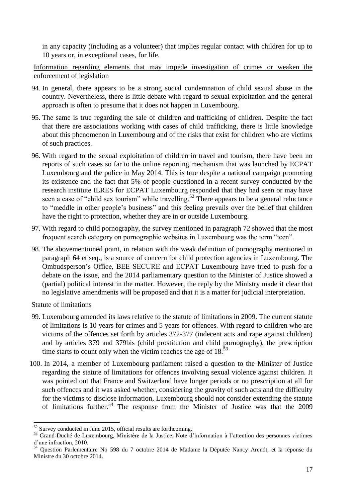in any capacity (including as a volunteer) that implies regular contact with children for up to 10 years or, in exceptional cases, for life.

Information regarding elements that may impede investigation of crimes or weaken the enforcement of legislation

- 94. In general, there appears to be a strong social condemnation of child sexual abuse in the country. Nevertheless, there is little debate with regard to sexual exploitation and the general approach is often to presume that it does not happen in Luxembourg.
- 95. The same is true regarding the sale of children and trafficking of children. Despite the fact that there are associations working with cases of child trafficking, there is little knowledge about this phenomenon in Luxembourg and of the risks that exist for children who are victims of such practices.
- 96. With regard to the sexual exploitation of children in travel and tourism, there have been no reports of such cases so far to the online reporting mechanism that was launched by ECPAT Luxembourg and the police in May 2014. This is true despite a national campaign promoting its existence and the fact that 5% of people questioned in a recent survey conducted by the research institute ILRES for ECPAT Luxembourg responded that they had seen or may have seen a case of "child sex tourism" while travelling.<sup>52</sup> There appears to be a general reluctance to "meddle in other people's business" and this feeling prevails over the belief that children have the right to protection, whether they are in or outside Luxembourg.
- 97. With regard to child pornography, the survey mentioned in paragraph 72 showed that the most frequent search category on pornographic websites in Luxembourg was the term "teen".
- 98. The abovementioned point, in relation with the weak definition of pornography mentioned in paragraph 64 et seq., is a source of concern for child protection agencies in Luxembourg. The Ombudsperson's Office, BEE SECURE and ECPAT Luxembourg have tried to push for a debate on the issue, and the 2014 parliamentary question to the Minister of Justice showed a (partial) political interest in the matter. However, the reply by the Ministry made it clear that no legislative amendments will be proposed and that it is a matter for judicial interpretation.

Statute of limitations

- 99. Luxembourg amended its laws relative to the statute of limitations in 2009. The current statute of limitations is 10 years for crimes and 5 years for offences. With regard to children who are victims of the offences set forth by articles 372-377 (indecent acts and rape against children) and by articles 379 and 379bis (child prostitution and child pornography), the prescription time starts to count only when the victim reaches the age of  $18<sup>53</sup>$
- 100. In 2014, a member of Luxembourg parliament raised a question to the Minister of Justice regarding the statute of limitations for offences involving sexual violence against children. It was pointed out that France and Switzerland have longer periods or no prescription at all for such offences and it was asked whether, considering the gravity of such acts and the difficulty for the victims to disclose information, Luxembourg should not consider extending the statute of limitations further.<sup>54</sup> The response from the Minister of Justice was that the 2009

 $52$  Survey conducted in June 2015, official results are forthcoming.

<sup>53</sup> Grand-Duché de Luxembourg, Ministère de la Justice, Note d'information à l'attention des personnes victimes d'une infraction, 2010.

<sup>54</sup> Question Parlementaire No 598 du 7 octobre 2014 de Madame la Députée Nancy Arendt, et la réponse du Ministre du 30 octobre 2014.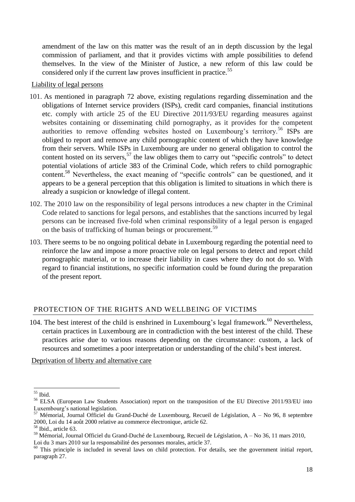amendment of the law on this matter was the result of an in depth discussion by the legal commission of parliament, and that it provides victims with ample possibilities to defend themselves. In the view of the Minister of Justice, a new reform of this law could be considered only if the current law proves insufficient in practice.<sup>55</sup>

#### Liability of legal persons

- 101. As mentioned in paragraph 72 above, existing regulations regarding dissemination and the obligations of Internet service providers (ISPs), credit card companies, financial institutions etc. comply with article 25 of the EU Directive 2011/93/EU regarding measures against websites containing or disseminating child pornography, as it provides for the competent authorities to remove offending websites hosted on Luxembourg's territory.<sup>56</sup> ISPs are obliged to report and remove any child pornographic content of which they have knowledge from their servers. While ISPs in Luxembourg are under no general obligation to control the content hosted on its servers,<sup>57</sup> the law obliges them to carry out "specific controls" to detect potential violations of article 383 of the Criminal Code, which refers to child pornographic content.<sup>58</sup> Nevertheless, the exact meaning of "specific controls" can be questioned, and it appears to be a general perception that this obligation is limited to situations in which there is already a suspicion or knowledge of illegal content.
- 102. The 2010 law on the responsibility of legal persons introduces a new chapter in the Criminal Code related to sanctions for legal persons, and establishes that the sanctions incurred by legal persons can be increased five-fold when criminal responsibility of a legal person is engaged on the basis of trafficking of human beings or procurement.<sup>59</sup>
- 103. There seems to be no ongoing political debate in Luxembourg regarding the potential need to reinforce the law and impose a more proactive role on legal persons to detect and report child pornographic material, or to increase their liability in cases where they do not do so. With regard to financial institutions, no specific information could be found during the preparation of the present report.

# <span id="page-17-0"></span>PROTECTION OF THE RIGHTS AND WELLBEING OF VICTIMS

104. The best interest of the child is enshrined in Luxembourg's legal framework.<sup>60</sup> Nevertheless, certain practices in Luxembourg are in contradiction with the best interest of the child. These practices arise due to various reasons depending on the circumstance: custom, a lack of resources and sometimes a poor interpretation or understanding of the child's best interest.

Deprivation of liberty and alternative care

-

Loi du 3 mars 2010 sur la responsabilité des personnes morales, article 37.

<sup>55</sup> Ibid.

<sup>&</sup>lt;sup>56</sup> ELSA (European Law Students Association) report on the transposition of the EU Directive 2011/93/EU into Luxembourg's national legislation.

 $57$  Mémorial, Journal Officiel du Grand-Duché de Luxembourg, Recueil de Législation, A – No 96, 8 septembre 2000, Loi du 14 août 2000 relative au commerce électronique, article 62.

<sup>58</sup> Ibid., article 63.

<sup>59</sup> Mémorial, Journal Officiel du Grand-Duché de Luxembourg, Recueil de Législation, A – No 36, 11 mars 2010,

 $60$  This principle is included in several laws on child protection. For details, see the government initial report, paragraph 27.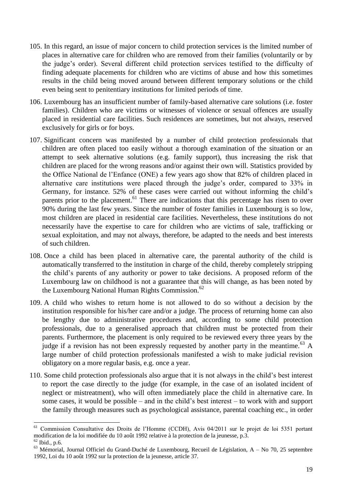- 105. In this regard, an issue of major concern to child protection services is the limited number of places in alternative care for children who are removed from their families (voluntarily or by the judge's order). Several different child protection services testified to the difficulty of finding adequate placements for children who are victims of abuse and how this sometimes results in the child being moved around between different temporary solutions or the child even being sent to penitentiary institutions for limited periods of time.
- 106. Luxembourg has an insufficient number of family-based alternative care solutions (i.e. foster families). Children who are victims or witnesses of violence or sexual offences are usually placed in residential care facilities. Such residences are sometimes, but not always, reserved exclusively for girls or for boys.
- 107. Significant concern was manifested by a number of child protection professionals that children are often placed too easily without a thorough examination of the situation or an attempt to seek alternative solutions (e.g. family support), thus increasing the risk that children are placed for the wrong reasons and/or against their own will. Statistics provided by the Office National de l'Enfance (ONE) a few years ago show that 82% of children placed in alternative care institutions were placed through the judge's order, compared to 33% in Germany, for instance. 52% of these cases were carried out without informing the child's parents prior to the placement.<sup>61</sup> There are indications that this percentage has risen to over 90% during the last few years. Since the number of foster families in Luxembourg is so low, most children are placed in residential care facilities. Nevertheless, these institutions do not necessarily have the expertise to care for children who are victims of sale, trafficking or sexual exploitation, and may not always, therefore, be adapted to the needs and best interests of such children.
- 108. Once a child has been placed in alternative care, the parental authority of the child is automatically transferred to the institution in charge of the child, thereby completely stripping the child's parents of any authority or power to take decisions. A proposed reform of the Luxembourg law on childhood is not a guarantee that this will change, as has been noted by the Luxembourg National Human Rights Commission.<sup>62</sup>
- 109. A child who wishes to return home is not allowed to do so without a decision by the institution responsible for his/her care and/or a judge. The process of returning home can also be lengthy due to administrative procedures and, according to some child protection professionals, due to a generalised approach that children must be protected from their parents. Furthermore, the placement is only required to be reviewed every three years by the judge if a revision has not been expressly requested by another party in the meantime.<sup>63</sup> A large number of child protection professionals manifested a wish to make judicial revision obligatory on a more regular basis, e.g. once a year.
- 110. Some child protection professionals also argue that it is not always in the child's best interest to report the case directly to the judge (for example, in the case of an isolated incident of neglect or mistreatment), who will often immediately place the child in alternative care. In some cases, it would be possible – and in the child's best interest – to work with and support the family through measures such as psychological assistance, parental coaching etc., in order

<sup>61</sup> <sup>61</sup> Commission Consultative des Droits de l'Homme (CCDH), Avis 04/2011 sur le projet de loi 5351 portant modification de la loi modifiée du 10 août 1992 relative à la protection de la jeunesse, p.3.

<sup>62</sup> Ibid., p.6.

 $63$  Mémorial, Journal Officiel du Grand-Duché de Luxembourg, Recueil de Législation, A – No 70, 25 septembre 1992, Loi du 10 août 1992 sur la protection de la jeunesse, article 37.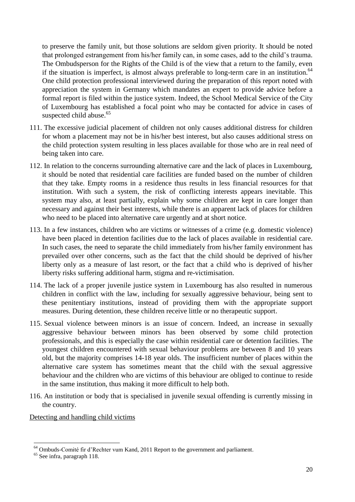to preserve the family unit, but those solutions are seldom given priority. It should be noted that prolonged estrangement from his/her family can, in some cases, add to the child's trauma. The Ombudsperson for the Rights of the Child is of the view that a return to the family, even if the situation is imperfect, is almost always preferable to long-term care in an institution.<sup>64</sup> One child protection professional interviewed during the preparation of this report noted with appreciation the system in Germany which mandates an expert to provide advice before a formal report is filed within the justice system. Indeed, the School Medical Service of the City of Luxembourg has established a focal point who may be contacted for advice in cases of suspected child abuse.<sup>65</sup>

- 111. The excessive judicial placement of children not only causes additional distress for children for whom a placement may not be in his/her best interest, but also causes additional stress on the child protection system resulting in less places available for those who are in real need of being taken into care.
- 112. In relation to the concerns surrounding alternative care and the lack of places in Luxembourg, it should be noted that residential care facilities are funded based on the number of children that they take. Empty rooms in a residence thus results in less financial resources for that institution. With such a system, the risk of conflicting interests appears inevitable. This system may also, at least partially, explain why some children are kept in care longer than necessary and against their best interests, while there is an apparent lack of places for children who need to be placed into alternative care urgently and at short notice.
- 113. In a few instances, children who are victims or witnesses of a crime (e.g. domestic violence) have been placed in detention facilities due to the lack of places available in residential care. In such cases, the need to separate the child immediately from his/her family environment has prevailed over other concerns, such as the fact that the child should be deprived of his/her liberty only as a measure of last resort, or the fact that a child who is deprived of his/her liberty risks suffering additional harm, stigma and re-victimisation.
- 114. The lack of a proper juvenile justice system in Luxembourg has also resulted in numerous children in conflict with the law, including for sexually aggressive behaviour, being sent to these penitentiary institutions, instead of providing them with the appropriate support measures. During detention, these children receive little or no therapeutic support.
- 115. Sexual violence between minors is an issue of concern. Indeed, an increase in sexually aggressive behaviour between minors has been observed by some child protection professionals, and this is especially the case within residential care or detention facilities. The youngest children encountered with sexual behaviour problems are between 8 and 10 years old, but the majority comprises 14-18 year olds. The insufficient number of places within the alternative care system has sometimes meant that the child with the sexual aggressive behaviour and the children who are victims of this behaviour are obliged to continue to reside in the same institution, thus making it more difficult to help both.
- 116. An institution or body that is specialised in juvenile sexual offending is currently missing in the country.

Detecting and handling child victims

<sup>-</sup><sup>64</sup> Ombuds-Comité fir d'Rechter vum Kand, 2011 Report to the government and parliament.

<sup>&</sup>lt;sup>65</sup> See infra, paragraph 118.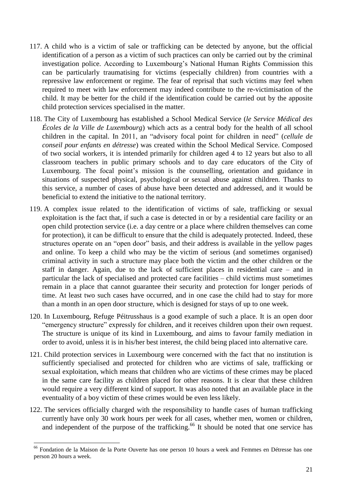- 117. A child who is a victim of sale or trafficking can be detected by anyone, but the official identification of a person as a victim of such practices can only be carried out by the criminal investigation police. According to Luxembourg's National Human Rights Commission this can be particularly traumatising for victims (especially children) from countries with a repressive law enforcement or regime. The fear of reprisal that such victims may feel when required to meet with law enforcement may indeed contribute to the re-victimisation of the child. It may be better for the child if the identification could be carried out by the apposite child protection services specialised in the matter.
- 118. The City of Luxembourg has established a School Medical Service (*le Service Médical des Écoles de la Ville de Luxembourg*) which acts as a central body for the health of all school children in the capital. In 2011, an "advisory focal point for children in need" (*cellule de conseil pour enfants en détresse*) was created within the School Medical Service. Composed of two social workers, it is intended primarily for children aged 4 to 12 years but also to all classroom teachers in public primary schools and to day care educators of the City of Luxembourg. The focal point's mission is the counselling, orientation and guidance in situations of suspected physical, psychological or sexual abuse against children. Thanks to this service, a number of cases of abuse have been detected and addressed, and it would be beneficial to extend the initiative to the national territory.
- 119. A complex issue related to the identification of victims of sale, trafficking or sexual exploitation is the fact that, if such a case is detected in or by a residential care facility or an open child protection service (i.e. a day centre or a place where children themselves can come for protection), it can be difficult to ensure that the child is adequately protected. Indeed, these structures operate on an "open door" basis, and their address is available in the yellow pages and online. To keep a child who may be the victim of serious (and sometimes organised) criminal activity in such a structure may place both the victim and the other children or the staff in danger. Again, due to the lack of sufficient places in residential care – and in particular the lack of specialised and protected care facilities – child victims must sometimes remain in a place that cannot guarantee their security and protection for longer periods of time. At least two such cases have occurred, and in one case the child had to stay for more than a month in an open door structure, which is designed for stays of up to one week.
- 120. In Luxembourg, Refuge Péitrusshaus is a good example of such a place. It is an open door "emergency structure" expressly for children, and it receives children upon their own request. The structure is unique of its kind in Luxembourg, and aims to favour family mediation in order to avoid, unless it is in his/her best interest, the child being placed into alternative care.
- 121. Child protection services in Luxembourg were concerned with the fact that no institution is sufficiently specialised and protected for children who are victims of sale, trafficking or sexual exploitation, which means that children who are victims of these crimes may be placed in the same care facility as children placed for other reasons. It is clear that these children would require a very different kind of support. It was also noted that an available place in the eventuality of a boy victim of these crimes would be even less likely.
- 122. The services officially charged with the responsibility to handle cases of human trafficking currently have only 30 work hours per week for all cases, whether men, women or children, and independent of the purpose of the trafficking.<sup>66</sup> It should be noted that one service has

-

<sup>&</sup>lt;sup>66</sup> Fondation de la Maison de la Porte Ouverte has one person 10 hours a week and Femmes en Détresse has one person 20 hours a week.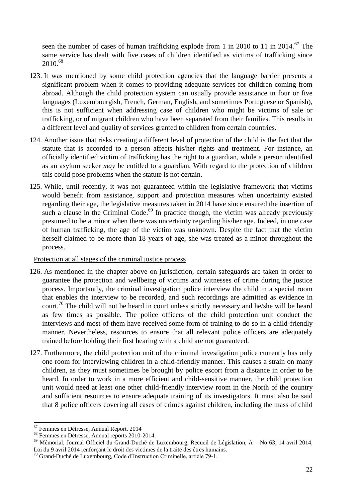seen the number of cases of human trafficking explode from 1 in 2010 to 11 in 2014.<sup>67</sup> The same service has dealt with five cases of children identified as victims of trafficking since 2010.<sup>68</sup>

- 123. It was mentioned by some child protection agencies that the language barrier presents a significant problem when it comes to providing adequate services for children coming from abroad. Although the child protection system can usually provide assistance in four or five languages (Luxembourgish, French, German, English, and sometimes Portuguese or Spanish), this is not sufficient when addressing case of children who might be victims of sale or trafficking, or of migrant children who have been separated from their families. This results in a different level and quality of services granted to children from certain countries.
- 124. Another issue that risks creating a different level of protection of the child is the fact that the statute that is accorded to a person affects his/her rights and treatment. For instance, an officially identified victim of trafficking has the right to a guardian, while a person identified as an asylum seeker *may* be entitled to a guardian. With regard to the protection of children this could pose problems when the statute is not certain.
- 125. While, until recently, it was not guaranteed within the legislative framework that victims would benefit from assistance, support and protection measures when uncertainty existed regarding their age, the legislative measures taken in 2014 have since ensured the insertion of such a clause in the Criminal Code.<sup>69</sup> In practice though, the victim was already previously presumed to be a minor when there was uncertainty regarding his/her age. Indeed, in one case of human trafficking, the age of the victim was unknown. Despite the fact that the victim herself claimed to be more than 18 years of age, she was treated as a minor throughout the process.

Protection at all stages of the criminal justice process

- 126. As mentioned in the chapter above on jurisdiction, certain safeguards are taken in order to guarantee the protection and wellbeing of victims and witnesses of crime during the justice process. Importantly, the criminal investigation police interview the child in a special room that enables the interview to be recorded, and such recordings are admitted as evidence in court.<sup>70</sup> The child will not be heard in court unless strictly necessary and he/she will be heard as few times as possible. The police officers of the child protection unit conduct the interviews and most of them have received some form of training to do so in a child-friendly manner. Nevertheless, resources to ensure that all relevant police officers are adequately trained before holding their first hearing with a child are not guaranteed.
- 127. Furthermore, the child protection unit of the criminal investigation police currently has only one room for interviewing children in a child-friendly manner. This causes a strain on many children, as they must sometimes be brought by police escort from a distance in order to be heard. In order to work in a more efficient and child-sensitive manner, the child protection unit would need at least one other child-friendly interview room in the North of the country and sufficient resources to ensure adequate training of its investigators. It must also be said that 8 police officers covering all cases of crimes against children, including the mass of child

<sup>67</sup> Femmes en Détresse, Annual Report, 2014

<sup>68</sup> Femmes en Détresse, Annual reports 2010-2014.

<sup>69</sup> Mémorial, Journal Officiel du Grand-Duché de Luxembourg, Recueil de Législation, A – No 63, 14 avril 2014, Loi du 9 avril 2014 renforçant le droit des victimes de la traite des êtres humains.

<sup>70</sup> Grand-Duché de Luxembourg, Code d'Instruction Criminelle, article 79-1.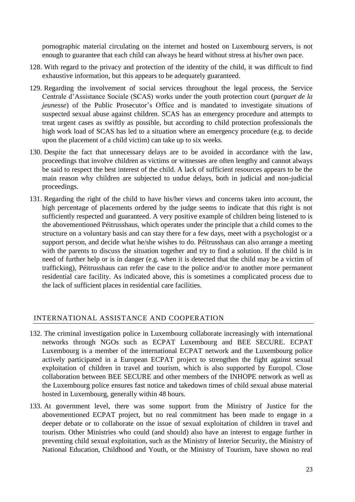pornographic material circulating on the internet and hosted on Luxembourg servers, is not enough to guarantee that each child can always be heard without stress at his/her own pace.

- 128. With regard to the privacy and protection of the identity of the child, it was difficult to find exhaustive information, but this appears to be adequately guaranteed.
- 129. Regarding the involvement of social services throughout the legal process, the Service Centrale d'Assistance Sociale (SCAS) works under the youth protection court (*parquet de la jeunesse*) of the Public Prosecutor's Office and is mandated to investigate situations of suspected sexual abuse against children. SCAS has an emergency procedure and attempts to treat urgent cases as swiftly as possible, but according to child protection professionals the high work load of SCAS has led to a situation where an emergency procedure (e.g. to decide upon the placement of a child victim) can take up to six weeks.
- 130. Despite the fact that unnecessary delays are to be avoided in accordance with the law, proceedings that involve children as victims or witnesses are often lengthy and cannot always be said to respect the best interest of the child. A lack of sufficient resources appears to be the main reason why children are subjected to undue delays, both in judicial and non-judicial proceedings.
- 131. Regarding the right of the child to have his/her views and concerns taken into account, the high percentage of placements ordered by the judge seems to indicate that this right is not sufficiently respected and guaranteed. A very positive example of children being listened to is the abovementioned Péitrusshaus, which operates under the principle that a child comes to the structure on a voluntary basis and can stay there for a few days, meet with a psychologist or a support person, and decide what he/she wishes to do. Péitrusshaus can also arrange a meeting with the parents to discuss the situation together and try to find a solution. If the child is in need of further help or is in danger (e.g. when it is detected that the child may be a victim of trafficking), Péitrusshaus can refer the case to the police and/or to another more permanent residential care facility. As indicated above, this is sometimes a complicated process due to the lack of sufficient places in residential care facilities.

# <span id="page-22-0"></span>INTERNATIONAL ASSISTANCE AND COOPERATION

- 132. The criminal investigation police in Luxembourg collaborate increasingly with international networks through NGOs such as ECPAT Luxembourg and BEE SECURE. ECPAT Luxembourg is a member of the international ECPAT network and the Luxembourg police actively participated in a European ECPAT project to strengthen the fight against sexual exploitation of children in travel and tourism, which is also supported by Europol. Close collaboration between BEE SECURE and other members of the INHOPE network as well as the Luxembourg police ensures fast notice and takedown times of child sexual abuse material hosted in Luxembourg, generally within 48 hours.
- 133. At government level, there was some support from the Ministry of Justice for the abovementioned ECPAT project, but no real commitment has been made to engage in a deeper debate or to collaborate on the issue of sexual exploitation of children in travel and tourism. Other Ministries who could (and should) also have an interest to engage further in preventing child sexual exploitation, such as the Ministry of Interior Security, the Ministry of National Education, Childhood and Youth, or the Ministry of Tourism, have shown no real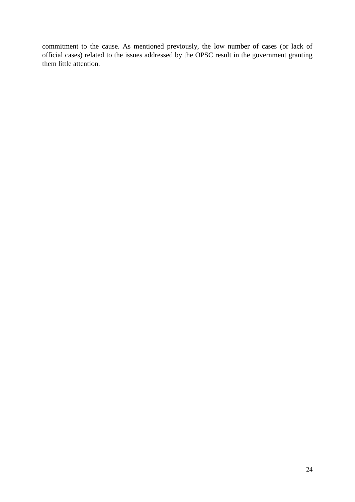commitment to the cause. As mentioned previously, the low number of cases (or lack of official cases) related to the issues addressed by the OPSC result in the government granting them little attention.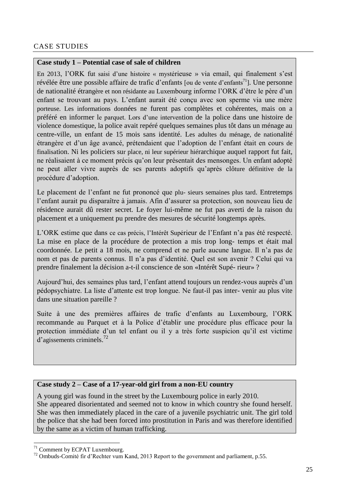# <span id="page-24-0"></span>CASE STUDIES

#### **Case study 1 – Potential case of sale of children**

En 2013, l'ORK fut saisi d'une histoire « mystérieuse » via email, qui finalement s'est révélée être une possible affaire de trafic d'enfants [ou de vente d'enfants<sup>71</sup>]. Une personne de nationalité étrangère et non résidante au Luxembourg informe l'ORK d'être le père d'un enfant se trouvant au pays. L'enfant aurait été conçu avec son sperme via une mère porteuse. Les informations données ne furent pas complètes et cohérentes, mais on a préféré en informer le parquet. Lors d'une intervention de la police dans une histoire de violence domestique, la police avait repéré quelques semaines plus tôt dans un ménage au centre-ville, un enfant de 15 mois sans identité. Les adultes du ménage, de nationalité étrangère et d'un âge avancé, prétendaient que l'adoption de l'enfant était en cours de finalisation. Ni les policiers sur place, ni leur supérieur hiérarchique auquel rapport fut fait, ne réalisaient à ce moment précis qu'on leur présentait des mensonges. Un enfant adopté ne peut aller vivre auprès de ses parents adoptifs qu'après clôture définitive de la procédure d'adoption.

Le placement de l'enfant ne fut prononcé que plu- sieurs semaines plus tard. Entretemps l'enfant aurait pu disparaître à jamais. Afin d'assurer sa protection, son nouveau lieu de résidence aurait dû rester secret. Le foyer lui-même ne fut pas averti de la raison du placement et a uniquement pu prendre des mesures de sécurité longtemps après.

L'ORK estime que dans ce cas précis, l'Intérêt Supérieur de l'Enfant n'a pas été respecté. La mise en place de la procédure de protection a mis trop long- temps et était mal coordonnée. Le petit a 18 mois, ne comprend et ne parle aucune langue. Il n'a pas de nom et pas de parents connus. Il n'a pas d'identité. Quel est son avenir ? Celui qui va prendre finalement la décision a-t-il conscience de son «Intérêt Supé- rieur» ?

Aujourd'hui, des semaines plus tard, l'enfant attend toujours un rendez-vous auprès d'un pédopsychiatre. La liste d'attente est trop longue. Ne faut-il pas inter- venir au plus vite dans une situation pareille ?

Suite à une des premières affaires de trafic d'enfants au Luxembourg, l'ORK recommande au Parquet et à la Police d'établir une procédure plus efficace pour la protection immédiate d'un tel enfant ou il y a très forte suspicion qu'il est victime d'agissements criminels.<sup>72</sup>

# **Case study 2 – Case of a 17-year-old girl from a non-EU country**

A young girl was found in the street by the Luxembourg police in early 2010. She appeared disorientated and seemed not to know in which country she found herself. She was then immediately placed in the care of a juvenile psychiatric unit. The girl told the police that she had been forced into prostitution in Paris and was therefore identified by the same as a victim of human trafficking.

-

<sup>71</sup> Comment by ECPAT Luxembourg.

<sup>&</sup>lt;sup>72</sup> Ombuds-Comité fir d'Rechter vum Kand, 2013 Report to the government and parliament, p.55.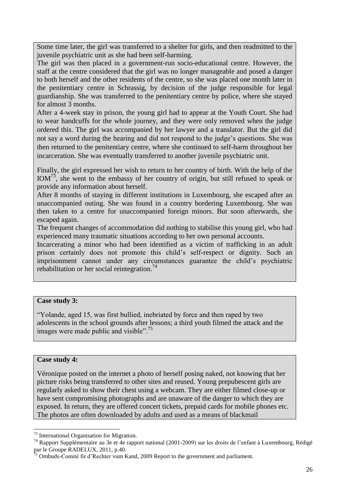Some time later, the girl was transferred to a shelter for girls, and then readmitted to the juvenile psychiatric unit as she had been self-harming.

The girl was then placed in a government-run socio-educational centre. However, the staff at the centre considered that the girl was no longer manageable and posed a danger to both herself and the other residents of the centre, so she was placed one month later in the penitentiary centre in Schrassig, by decision of the judge responsible for legal guardianship. She was transferred to the penitentiary centre by police, where she stayed for almost 3 months.

After a 4-week stay in prison, the young girl had to appear at the Youth Court. She had to wear handcuffs for the whole journey, and they were only removed when the judge ordered this. The girl was accompanied by her lawyer and a translator. But the girl did not say a word during the hearing and did not respond to the judge's questions. She was then returned to the penitentiary centre, where she continued to self-harm throughout her incarceration. She was eventually transferred to another juvenile psychiatric unit.

Finally, the girl expressed her wish to return to her country of birth. With the help of the  $IOM<sup>73</sup>$ , she went to the embassy of her country of origin, but still refused to speak or provide any information about herself.

After 8 months of staying in different institutions in Luxembourg, she escaped after an unaccompanied outing. She was found in a country bordering Luxembourg. She was then taken to a centre for unaccompanied foreign minors. But soon afterwards, she escaped again.

The frequent changes of accommodation did nothing to stabilise this young girl, who had experienced many traumatic situations according to her own personal accounts.

Incarcerating a minor who had been identified as a victim of trafficking in an adult prison certainly does not promote this child's self-respect or dignity. Such an imprisonment cannot under any circumstances guarantee the child's psychiatric rehabilitation or her social reintegration.<sup>74</sup>

#### **Case study 3:**

"Yolande, aged 15, was first bullied, inebriated by force and then raped by two adolescents in the school grounds after lessons; a third youth filmed the attack and the images were made public and visible".<sup>75</sup>

#### **Case study 4:**

-

Véronique posted on the internet a photo of herself posing naked, not knowing that her picture risks being transferred to other sites and reused. Young prepubescent girls are regularly asked to show their chest using a webcam. They are either filmed close-up or have sent compromising photographs and are unaware of the danger to which they are exposed. In return, they are offered concert tickets, prepaid cards for mobile phones etc. The photos are often downloaded by adults and used as a means of blackmail

<sup>&</sup>lt;sup>73</sup> International Organisation for Migration.

<sup>74</sup> Rapport Supplémentaire au 3e et 4e rapport national (2001-2009) sur les droits de l'enfant à Luxembourg, Rédigé par le Groupe RADELUX, 2011, p.40.

<sup>&</sup>lt;sup>75</sup> Ombuds-Comité fir d'Rechter vum Kand, 2009 Report to the government and parliament.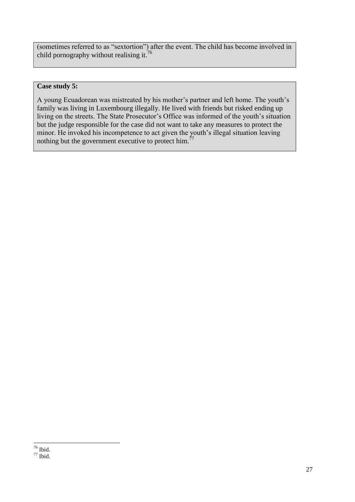(sometimes referred to as "sextortion") after the event. The child has become involved in child pornography without realising it. $76$ 

#### **Case study 5:**

A young Ecuadorean was mistreated by his mother's partner and left home. The youth's family was living in Luxembourg illegally. He lived with friends but risked ending up living on the streets. The State Prosecutor's Office was informed of the youth's situation but the judge responsible for the case did not want to take any measures to protect the minor. He invoked his incompetence to act given the youth's illegal situation leaving nothing but the government executive to protect him.<sup> $77$ </sup>

<sup>-</sup> $76$  Ibid.

 $77$  Ibid.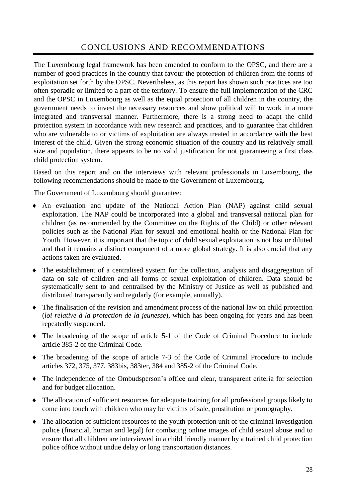# CONCLUSIONS AND RECOMMENDATIONS

<span id="page-27-0"></span>The Luxembourg legal framework has been amended to conform to the OPSC, and there are a number of good practices in the country that favour the protection of children from the forms of exploitation set forth by the OPSC. Nevertheless, as this report has shown such practices are too often sporadic or limited to a part of the territory. To ensure the full implementation of the CRC and the OPSC in Luxembourg as well as the equal protection of all children in the country, the government needs to invest the necessary resources and show political will to work in a more integrated and transversal manner. Furthermore, there is a strong need to adapt the child protection system in accordance with new research and practices, and to guarantee that children who are vulnerable to or victims of exploitation are always treated in accordance with the best interest of the child. Given the strong economic situation of the country and its relatively small size and population, there appears to be no valid justification for not guaranteeing a first class child protection system.

Based on this report and on the interviews with relevant professionals in Luxembourg, the following recommendations should be made to the Government of Luxembourg.

The Government of Luxembourg should guarantee:

- An evaluation and update of the National Action Plan (NAP) against child sexual exploitation. The NAP could be incorporated into a global and transversal national plan for children (as recommended by the Committee on the Rights of the Child) or other relevant policies such as the National Plan for sexual and emotional health or the National Plan for Youth. However, it is important that the topic of child sexual exploitation is not lost or diluted and that it remains a distinct component of a more global strategy. It is also crucial that any actions taken are evaluated.
- The establishment of a centralised system for the collection, analysis and disaggregation of data on sale of children and all forms of sexual exploitation of children. Data should be systematically sent to and centralised by the Ministry of Justice as well as published and distributed transparently and regularly (for example, annually).
- The finalisation of the revision and amendment process of the national law on child protection (*loi relative à la protection de la jeunesse*), which has been ongoing for years and has been repeatedly suspended.
- The broadening of the scope of article 5-1 of the Code of Criminal Procedure to include article 385-2 of the Criminal Code.
- The broadening of the scope of article 7-3 of the Code of Criminal Procedure to include articles 372, 375, 377, 383bis, 383ter, 384 and 385-2 of the Criminal Code.
- The independence of the Ombudsperson's office and clear, transparent criteria for selection and for budget allocation.
- The allocation of sufficient resources for adequate training for all professional groups likely to come into touch with children who may be victims of sale, prostitution or pornography.
- The allocation of sufficient resources to the youth protection unit of the criminal investigation police (financial, human and legal) for combating online images of child sexual abuse and to ensure that all children are interviewed in a child friendly manner by a trained child protection police office without undue delay or long transportation distances.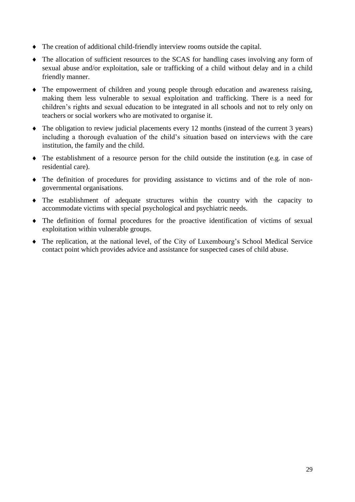- The creation of additional child-friendly interview rooms outside the capital.
- The allocation of sufficient resources to the SCAS for handling cases involving any form of sexual abuse and/or exploitation, sale or trafficking of a child without delay and in a child friendly manner.
- The empowerment of children and young people through education and awareness raising, making them less vulnerable to sexual exploitation and trafficking. There is a need for children's rights and sexual education to be integrated in all schools and not to rely only on teachers or social workers who are motivated to organise it.
- The obligation to review judicial placements every 12 months (instead of the current 3 years) including a thorough evaluation of the child's situation based on interviews with the care institution, the family and the child.
- The establishment of a resource person for the child outside the institution (e.g. in case of residential care).
- The definition of procedures for providing assistance to victims and of the role of nongovernmental organisations.
- The establishment of adequate structures within the country with the capacity to accommodate victims with special psychological and psychiatric needs.
- The definition of formal procedures for the proactive identification of victims of sexual exploitation within vulnerable groups.
- The replication, at the national level, of the City of Luxembourg's School Medical Service contact point which provides advice and assistance for suspected cases of child abuse.